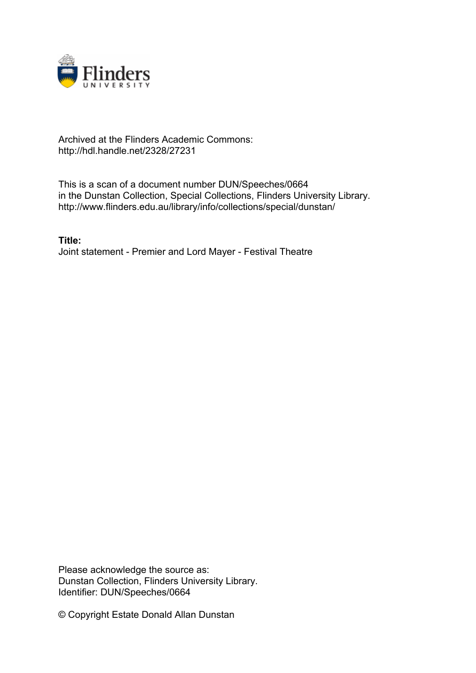

## Archived at the Flinders Academic Commons: http://hdl.handle.net/2328/27231

This is a scan of a document number DUN/Speeches/0664 in the Dunstan Collection, Special Collections, Flinders University Library. http://www.flinders.edu.au/library/info/collections/special/dunstan/

**Title:** Joint statement - Premier and Lord Mayer - Festival Theatre

Please acknowledge the source as: Dunstan Collection, Flinders University Library. Identifier: DUN/Speeches/0664

© Copyright Estate Donald Allan Dunstan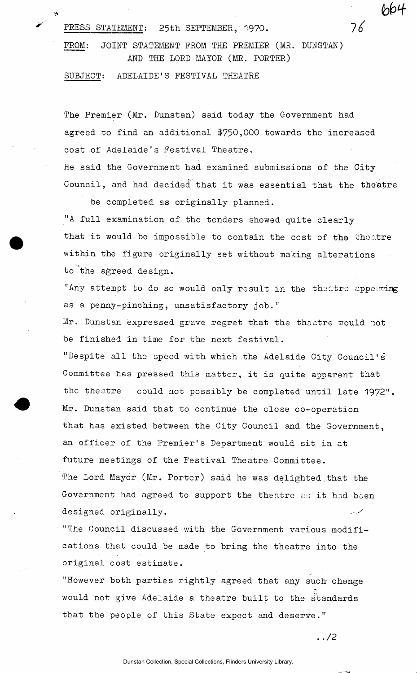PRESS STATEMENT: 25th SEPTEMBER, 1970.  $76$ 

FROM: JOINT STATEMENT FROM THE PREMIER (MR. DUNSTAN) AND THE LORD MAYOR (MR. PORTER)

SUBJECT: ADELAIDE'S FESTIVAL THEATRE

The Premier (Mr. Dunstan) said today the Government had agreed to find an additional \$750,000 towards the increased cost of Adelaide's Festival Theatre.

He said the Government had examined submissions of the City Council, and had decided that it was essential that the theatre

be completed as originally planned. "A full examination of the tenders showed quite clearly that it would be impossible to contain the cost of the theatre within the figure originally set without making alterations to the agreed design.

"Any attempt to do so would only result in the theatre appearing as a penny-pinching, unsatisfactory job."

Mr. Dunstan expressed grave regret that the theatre would not be finished in time for the next festival.

"Despite all the speed with which the Adelaide City Council's Committee has pressed this matter, it is quite apparent that the theatre could not possibly be completed until late 1972". Mr. Dunstan said that to continue the close co-operation that has existed between the City Council and the Government, an officer of the Premier's Department would sit in at future meetings of the Festival Theatre Committee. The Lord Mayor (Mr. Porter) said he was delighted that the Government had agreed to support the theatre as it had been designed originally.

"The Council discussed with the Government various modifications that could be made to bring the theatre into the original cost estimate.

"However both parties rightly agreed that any such change would not give Adelaide a theatre built to the standards that the people of this State expect and deserve."

**. ./2** 

664